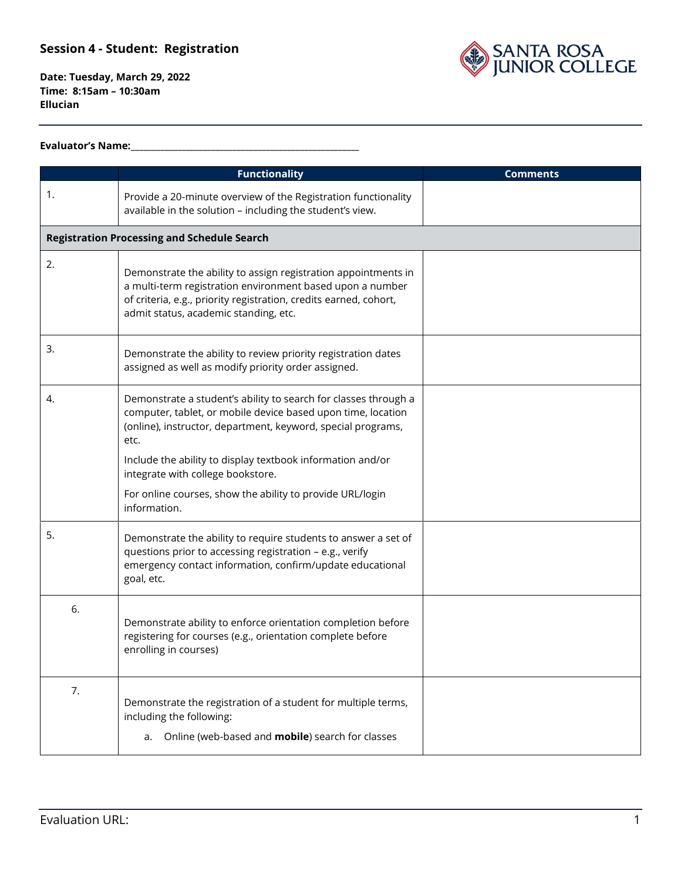SANTA ROSA<br>JUNIOR COLLEGE

**Date: Tuesday, March 29, 2022 Time: 8:15am – 10:30am Ellucian**

#### **Evaluator's Name:\_\_\_\_\_\_\_\_\_\_\_\_\_\_\_\_\_\_\_\_\_\_\_\_\_\_\_\_\_\_\_\_\_\_\_\_\_\_\_\_\_\_\_\_\_\_\_\_\_\_\_\_\_\_**

|    | <b>Functionality</b>                                                                                                                                                                                                                                                                                                                                                                    | <b>Comments</b> |
|----|-----------------------------------------------------------------------------------------------------------------------------------------------------------------------------------------------------------------------------------------------------------------------------------------------------------------------------------------------------------------------------------------|-----------------|
| 1. | Provide a 20-minute overview of the Registration functionality<br>available in the solution - including the student's view.                                                                                                                                                                                                                                                             |                 |
|    | <b>Registration Processing and Schedule Search</b>                                                                                                                                                                                                                                                                                                                                      |                 |
| 2. | Demonstrate the ability to assign registration appointments in<br>a multi-term registration environment based upon a number<br>of criteria, e.g., priority registration, credits earned, cohort,<br>admit status, academic standing, etc.                                                                                                                                               |                 |
| 3. | Demonstrate the ability to review priority registration dates<br>assigned as well as modify priority order assigned.                                                                                                                                                                                                                                                                    |                 |
| 4. | Demonstrate a student's ability to search for classes through a<br>computer, tablet, or mobile device based upon time, location<br>(online), instructor, department, keyword, special programs,<br>etc.<br>Include the ability to display textbook information and/or<br>integrate with college bookstore.<br>For online courses, show the ability to provide URL/login<br>information. |                 |
| 5. | Demonstrate the ability to require students to answer a set of<br>questions prior to accessing registration - e.g., verify<br>emergency contact information, confirm/update educational<br>goal, etc.                                                                                                                                                                                   |                 |
| 6. | Demonstrate ability to enforce orientation completion before<br>registering for courses (e.g., orientation complete before<br>enrolling in courses)                                                                                                                                                                                                                                     |                 |
| 7. | Demonstrate the registration of a student for multiple terms,<br>including the following:<br>Online (web-based and <b>mobile</b> ) search for classes<br>a.                                                                                                                                                                                                                             |                 |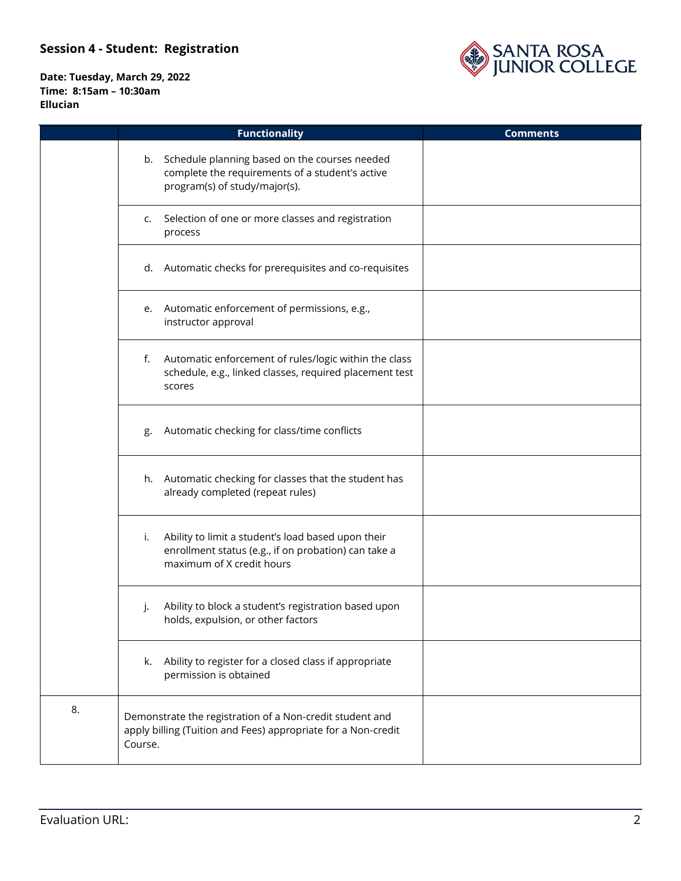

|    | <b>Functionality</b>                                                                                                                          | <b>Comments</b> |
|----|-----------------------------------------------------------------------------------------------------------------------------------------------|-----------------|
|    | b. Schedule planning based on the courses needed<br>complete the requirements of a student's active<br>program(s) of study/major(s).          |                 |
|    | Selection of one or more classes and registration<br>c.<br>process                                                                            |                 |
|    | d. Automatic checks for prerequisites and co-requisites                                                                                       |                 |
|    | e. Automatic enforcement of permissions, e.g.,<br>instructor approval                                                                         |                 |
|    | f. Automatic enforcement of rules/logic within the class<br>schedule, e.g., linked classes, required placement test<br>scores                 |                 |
|    | Automatic checking for class/time conflicts<br>g.                                                                                             |                 |
|    | h. Automatic checking for classes that the student has<br>already completed (repeat rules)                                                    |                 |
|    | Ability to limit a student's load based upon their<br>i.<br>enrollment status (e.g., if on probation) can take a<br>maximum of X credit hours |                 |
|    | Ability to block a student's registration based upon<br>J.<br>holds, expulsion, or other factors                                              |                 |
|    | k. Ability to register for a closed class if appropriate<br>permission is obtained                                                            |                 |
| 8. | Demonstrate the registration of a Non-credit student and<br>apply billing (Tuition and Fees) appropriate for a Non-credit<br>Course.          |                 |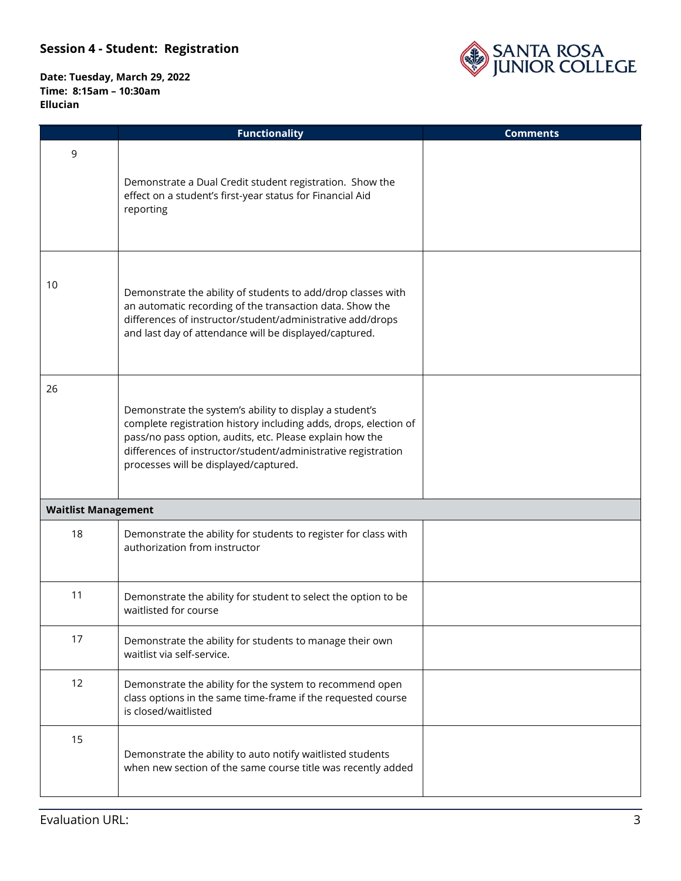

|                            | <b>Functionality</b>                                                                                                                                                                                                                                                                              | <b>Comments</b> |
|----------------------------|---------------------------------------------------------------------------------------------------------------------------------------------------------------------------------------------------------------------------------------------------------------------------------------------------|-----------------|
| 9                          | Demonstrate a Dual Credit student registration. Show the<br>effect on a student's first-year status for Financial Aid<br>reporting                                                                                                                                                                |                 |
| 10                         | Demonstrate the ability of students to add/drop classes with<br>an automatic recording of the transaction data. Show the<br>differences of instructor/student/administrative add/drops<br>and last day of attendance will be displayed/captured.                                                  |                 |
| 26                         | Demonstrate the system's ability to display a student's<br>complete registration history including adds, drops, election of<br>pass/no pass option, audits, etc. Please explain how the<br>differences of instructor/student/administrative registration<br>processes will be displayed/captured. |                 |
| <b>Waitlist Management</b> |                                                                                                                                                                                                                                                                                                   |                 |
| 18                         | Demonstrate the ability for students to register for class with<br>authorization from instructor                                                                                                                                                                                                  |                 |
| 11                         | Demonstrate the ability for student to select the option to be<br>waitlisted for course                                                                                                                                                                                                           |                 |
| 17                         | Demonstrate the ability for students to manage their own<br>waitlist via self-service.                                                                                                                                                                                                            |                 |
| 12                         | Demonstrate the ability for the system to recommend open<br>class options in the same time-frame if the requested course<br>is closed/waitlisted                                                                                                                                                  |                 |
| 15                         | Demonstrate the ability to auto notify waitlisted students<br>when new section of the same course title was recently added                                                                                                                                                                        |                 |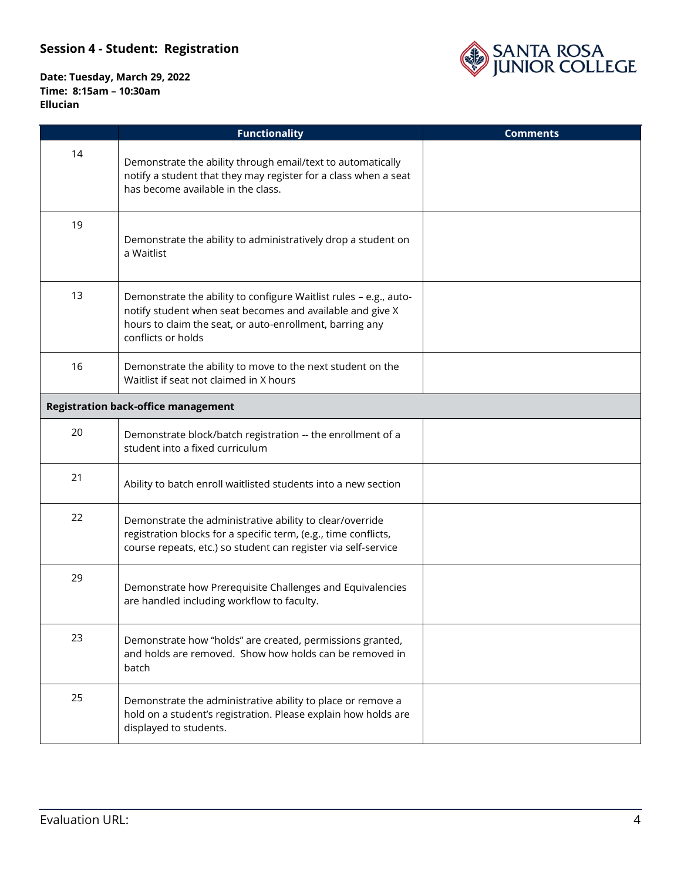

|    | <b>Functionality</b>                                                                                                                                                                                             | <b>Comments</b> |
|----|------------------------------------------------------------------------------------------------------------------------------------------------------------------------------------------------------------------|-----------------|
| 14 | Demonstrate the ability through email/text to automatically<br>notify a student that they may register for a class when a seat<br>has become available in the class.                                             |                 |
| 19 | Demonstrate the ability to administratively drop a student on<br>a Waitlist                                                                                                                                      |                 |
| 13 | Demonstrate the ability to configure Waitlist rules - e.g., auto-<br>notify student when seat becomes and available and give X<br>hours to claim the seat, or auto-enrollment, barring any<br>conflicts or holds |                 |
| 16 | Demonstrate the ability to move to the next student on the<br>Waitlist if seat not claimed in X hours                                                                                                            |                 |
|    | <b>Registration back-office management</b>                                                                                                                                                                       |                 |
| 20 | Demonstrate block/batch registration -- the enrollment of a<br>student into a fixed curriculum                                                                                                                   |                 |
| 21 | Ability to batch enroll waitlisted students into a new section                                                                                                                                                   |                 |
| 22 | Demonstrate the administrative ability to clear/override<br>registration blocks for a specific term, (e.g., time conflicts,<br>course repeats, etc.) so student can register via self-service                    |                 |
| 29 | Demonstrate how Prerequisite Challenges and Equivalencies<br>are handled including workflow to faculty.                                                                                                          |                 |
| 23 | Demonstrate how "holds" are created, permissions granted,<br>and holds are removed. Show how holds can be removed in<br>batch                                                                                    |                 |
| 25 | Demonstrate the administrative ability to place or remove a<br>hold on a student's registration. Please explain how holds are<br>displayed to students.                                                          |                 |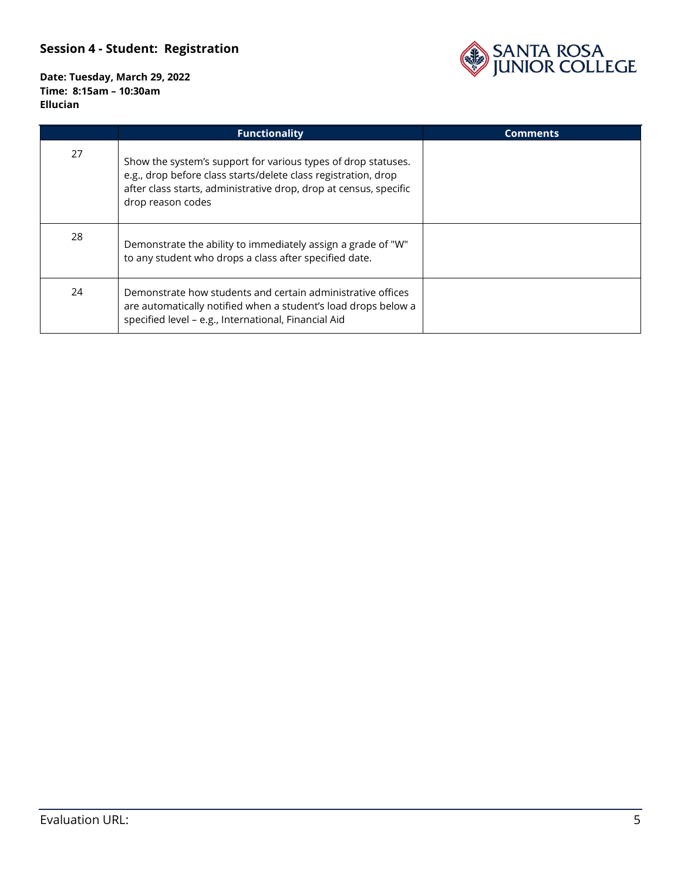

|    | <b>Functionality</b>                                                                                                                                                                                                      | <b>Comments</b> |
|----|---------------------------------------------------------------------------------------------------------------------------------------------------------------------------------------------------------------------------|-----------------|
| 27 | Show the system's support for various types of drop statuses.<br>e.g., drop before class starts/delete class registration, drop<br>after class starts, administrative drop, drop at census, specific<br>drop reason codes |                 |
| 28 | Demonstrate the ability to immediately assign a grade of "W"<br>to any student who drops a class after specified date.                                                                                                    |                 |
| 24 | Demonstrate how students and certain administrative offices<br>are automatically notified when a student's load drops below a<br>specified level - e.g., International, Financial Aid                                     |                 |